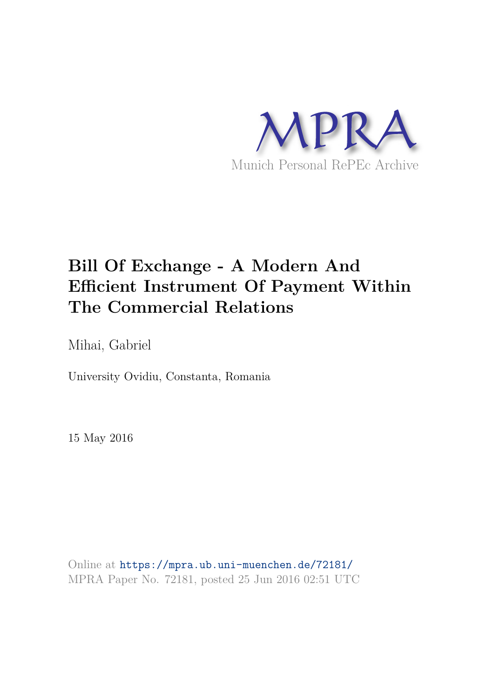

# **Bill Of Exchange - A Modern And Efficient Instrument Of Payment Within The Commercial Relations**

Mihai, Gabriel

University Ovidiu, Constanta, Romania

15 May 2016

Online at https://mpra.ub.uni-muenchen.de/72181/ MPRA Paper No. 72181, posted 25 Jun 2016 02:51 UTC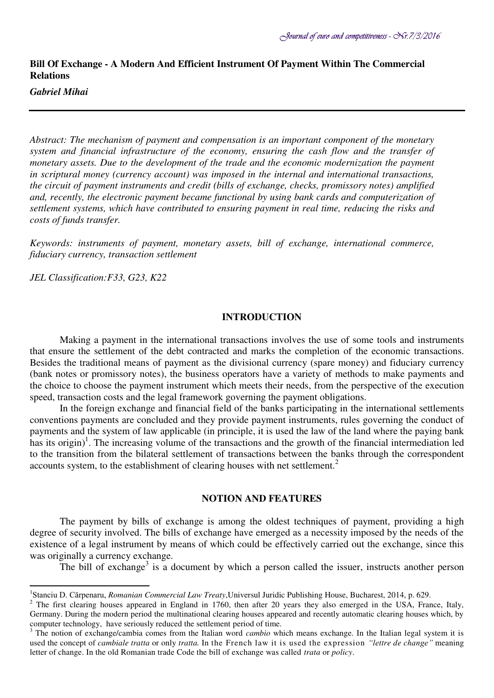# **Bill Of Exchange - A Modern And Efficient Instrument Of Payment Within The Commercial Relations**

# *Gabriel Mihai*

 $\overline{a}$ 

*Abstract: The mechanism of payment and compensation is an important component of the monetary system and financial infrastructure of the economy, ensuring the cash flow and the transfer of monetary assets. Due to the development of the trade and the economic modernization the payment in scriptural money (currency account) was imposed in the internal and international transactions, the circuit of payment instruments and credit (bills of exchange, checks, promissory notes) amplified and, recently, the electronic payment became functional by using bank cards and computerization of settlement systems, which have contributed to ensuring payment in real time, reducing the risks and costs of funds transfer.* 

*Keywords: instruments of payment, monetary assets, bill of exchange, international commerce, fiduciary currency, transaction settlement* 

*JEL Classification:F33, G23, K22* 

#### **INTRODUCTION**

Making a payment in the international transactions involves the use of some tools and instruments that ensure the settlement of the debt contracted and marks the completion of the economic transactions. Besides the traditional means of payment as the divisional currency (spare money) and fiduciary currency (bank notes or promissory notes), the business operators have a variety of methods to make payments and the choice to choose the payment instrument which meets their needs, from the perspective of the execution speed, transaction costs and the legal framework governing the payment obligations.

In the foreign exchange and financial field of the banks participating in the international settlements conventions payments are concluded and they provide payment instruments, rules governing the conduct of payments and the system of law applicable (in principle, it is used the law of the land where the paying bank has its origin)<sup>1</sup>. The increasing volume of the transactions and the growth of the financial intermediation led to the transition from the bilateral settlement of transactions between the banks through the correspondent accounts system, to the establishment of clearing houses with net settlement.<sup>2</sup>

#### **NOTION AND FEATURES**

The payment by bills of exchange is among the oldest techniques of payment, providing a high degree of security involved. The bills of exchange have emerged as a necessity imposed by the needs of the existence of a legal instrument by means of which could be effectively carried out the exchange, since this was originally a currency exchange.

The bill of exchange<sup>3</sup> is a document by which a person called the issuer, instructs another person

<sup>1</sup> Stanciu D. Cărpenaru, *Romanian Commercial Law Treaty*,Universul Juridic Publishing House, Bucharest, 2014, p. 629.

 $2$  The first clearing houses appeared in England in 1760, then after 20 years they also emerged in the USA, France, Italy, Germany. During the modern period the multinational clearing houses appeared and recently automatic clearing houses which, by computer technology, have seriously reduced the settlement period of time.

<sup>&</sup>lt;sup>3</sup> The notion of exchange/cambia comes from the Italian word *cambio* which means exchange. In the Italian legal system it is used the concept of *cambiale tratta* or only *tratta.* In the French law it is used the expression *"lettre de change"* meaning letter of change. In the old Romanian trade Code the bill of exchange was called *trata* or *policy*.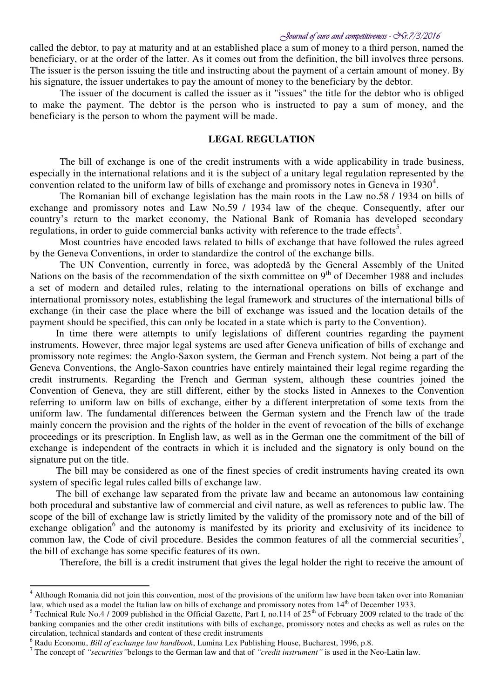called the debtor, to pay at maturity and at an established place a sum of money to a third person, named the beneficiary, or at the order of the latter. As it comes out from the definition, the bill involves three persons. The issuer is the person issuing the title and instructing about the payment of a certain amount of money. By his signature, the issuer undertakes to pay the amount of money to the beneficiary by the debtor.

The issuer of the document is called the issuer as it "issues" the title for the debtor who is obliged to make the payment. The debtor is the person who is instructed to pay a sum of money, and the beneficiary is the person to whom the payment will be made.

## **LEGAL REGULATION**

The bill of exchange is one of the credit instruments with a wide applicability in trade business, especially in the international relations and it is the subject of a unitary legal regulation represented by the convention related to the uniform law of bills of exchange and promissory notes in Geneva in  $1930<sup>4</sup>$ .

The Romanian bill of exchange legislation has the main roots in the Law no.58 / 1934 on bills of exchange and promissory notes and Law No.59 / 1934 law of the cheque. Consequently, after our country's return to the market economy, the National Bank of Romania has developed secondary regulations, in order to guide commercial banks activity with reference to the trade effects<sup>5</sup>.

Most countries have encoded laws related to bills of exchange that have followed the rules agreed by the Geneva Conventions, in order to standardize the control of the exchange bills.

The UN Convention, currently in force, was adoptedǎ by the General Assembly of the United Nations on the basis of the recommendation of the sixth committee on  $9<sup>th</sup>$  of December 1988 and includes a set of modern and detailed rules, relating to the international operations on bills of exchange and international promissory notes, establishing the legal framework and structures of the international bills of exchange (in their case the place where the bill of exchange was issued and the location details of the payment should be specified, this can only be located in a state which is party to the Convention).

In time there were attempts to unify legislations of different countries regarding the payment instruments. However, three major legal systems are used after Geneva unification of bills of exchange and promissory note regimes: the Anglo-Saxon system, the German and French system. Not being a part of the Geneva Conventions, the Anglo-Saxon countries have entirely maintained their legal regime regarding the credit instruments. Regarding the French and German system, although these countries joined the Convention of Geneva, they are still different, either by the stocks listed in Annexes to the Convention referring to uniform law on bills of exchange, either by a different interpretation of some texts from the uniform law. The fundamental differences between the German system and the French law of the trade mainly concern the provision and the rights of the holder in the event of revocation of the bills of exchange proceedings or its prescription. In English law, as well as in the German one the commitment of the bill of exchange is independent of the contracts in which it is included and the signatory is only bound on the signature put on the title.

The bill may be considered as one of the finest species of credit instruments having created its own system of specific legal rules called bills of exchange law.

The bill of exchange law separated from the private law and became an autonomous law containing both procedural and substantive law of commercial and civil nature, as well as references to public law. The scope of the bill of exchange law is strictly limited by the validity of the promissory note and of the bill of exchange obligation<sup>6</sup> and the autonomy is manifested by its priority and exclusivity of its incidence to common law, the Code of civil procedure. Besides the common features of all the commercial securities<sup>7</sup>, the bill of exchange has some specific features of its own.

Therefore, the bill is a credit instrument that gives the legal holder the right to receive the amount of

<sup>&</sup>lt;sup>4</sup> Although Romania did not join this convention, most of the provisions of the uniform law have been taken over into Romanian law, which used as a model the Italian law on bills of exchange and promissory notes from 14<sup>th</sup> of December 1933.

<sup>&</sup>lt;sup>5</sup> Technical Rule No.4 / 2009 published in the Official Gazette, Part I, no.114 of  $25<sup>th</sup>$  of February 2009 related to the trade of the banking companies and the other credit institutions with bills of exchange, promissory notes and checks as well as rules on the circulation, technical standards and content of these credit instruments

<sup>6</sup> Radu Economu, *Bill of exchange law handbook*, Lumina Lex Publishing House, Bucharest, 1996, p.8.

<sup>7</sup> The concept of *"securities"*belongs to the German law and that of *"credit instrument"* is used in the Neo-Latin law.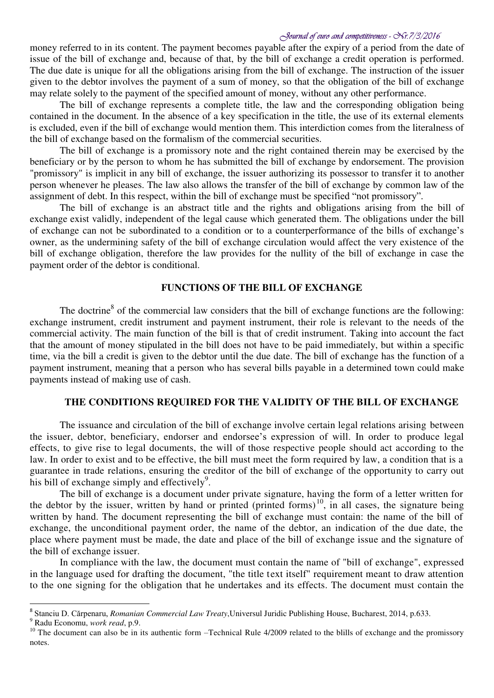money referred to in its content. The payment becomes payable after the expiry of a period from the date of issue of the bill of exchange and, because of that, by the bill of exchange a credit operation is performed. The due date is unique for all the obligations arising from the bill of exchange. The instruction of the issuer given to the debtor involves the payment of a sum of money, so that the obligation of the bill of exchange may relate solely to the payment of the specified amount of money, without any other performance.

The bill of exchange represents a complete title, the law and the corresponding obligation being contained in the document. In the absence of a key specification in the title, the use of its external elements is excluded, even if the bill of exchange would mention them. This interdiction comes from the literalness of the bill of exchange based on the formalism of the commercial securities.

The bill of exchange is a promissory note and the right contained therein may be exercised by the beneficiary or by the person to whom he has submitted the bill of exchange by endorsement. The provision "promissory" is implicit in any bill of exchange, the issuer authorizing its possessor to transfer it to another person whenever he pleases. The law also allows the transfer of the bill of exchange by common law of the assignment of debt. In this respect, within the bill of exchange must be specified "not promissory".

The bill of exchange is an abstract title and the rights and obligations arising from the bill of exchange exist validly, independent of the legal cause which generated them. The obligations under the bill of exchange can not be subordinated to a condition or to a counterperformance of the bills of exchange's owner, as the undermining safety of the bill of exchange circulation would affect the very existence of the bill of exchange obligation, therefore the law provides for the nullity of the bill of exchange in case the payment order of the debtor is conditional.

# **FUNCTIONS OF THE BILL OF EXCHANGE**

The doctrine<sup>8</sup> of the commercial law considers that the bill of exchange functions are the following: exchange instrument, credit instrument and payment instrument, their role is relevant to the needs of the commercial activity. The main function of the bill is that of credit instrument. Taking into account the fact that the amount of money stipulated in the bill does not have to be paid immediately, but within a specific time, via the bill a credit is given to the debtor until the due date. The bill of exchange has the function of a payment instrument, meaning that a person who has several bills payable in a determined town could make payments instead of making use of cash.

## **THE CONDITIONS REQUIRED FOR THE VALIDITY OF THE BILL OF EXCHANGE**

The issuance and circulation of the bill of exchange involve certain legal relations arising between the issuer, debtor, beneficiary, endorser and endorsee's expression of will. In order to produce legal effects, to give rise to legal documents, the will of those respective people should act according to the law. In order to exist and to be effective, the bill must meet the form required by law, a condition that is a guarantee in trade relations, ensuring the creditor of the bill of exchange of the opportunity to carry out his bill of exchange simply and effectively<sup>9</sup>.

The bill of exchange is a document under private signature, having the form of a letter written for the debtor by the issuer, written by hand or printed (printed forms)<sup>10</sup>, in all cases, the signature being written by hand. The document representing the bill of exchange must contain: the name of the bill of exchange, the unconditional payment order, the name of the debtor, an indication of the due date, the place where payment must be made, the date and place of the bill of exchange issue and the signature of the bill of exchange issuer.

In compliance with the law, the document must contain the name of "bill of exchange", expressed in the language used for drafting the document, "the title text itself" requirement meant to draw attention to the one signing for the obligation that he undertakes and its effects. The document must contain the

9 Radu Economu, *work read*, p.9.

<sup>8</sup> Stanciu D. Cărpenaru, *Romanian Commercial Law Treaty*,Universul Juridic Publishing House, Bucharest, 2014, p.633.

<sup>&</sup>lt;sup>10</sup> The document can also be in its authentic form –Technical Rule  $4/2009$  related to the blills of exchange and the promissory notes.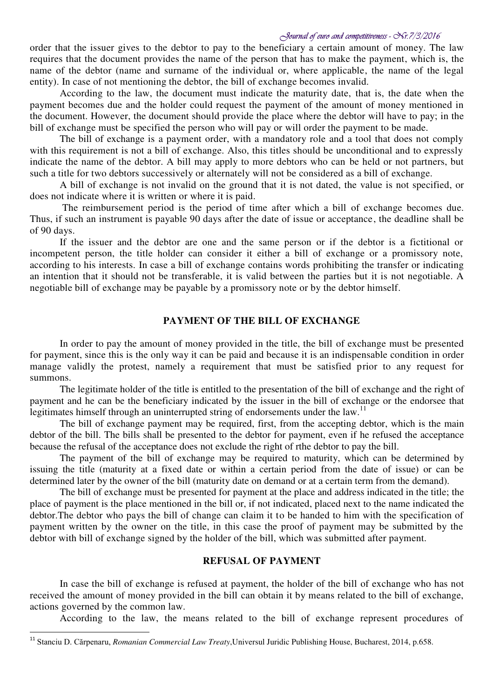order that the issuer gives to the debtor to pay to the beneficiary a certain amount of money. The law requires that the document provides the name of the person that has to make the payment, which is, the name of the debtor (name and surname of the individual or, where applicable, the name of the legal entity). In case of not mentioning the debtor, the bill of exchange becomes invalid.

According to the law, the document must indicate the maturity date, that is, the date when the payment becomes due and the holder could request the payment of the amount of money mentioned in the document. However, the document should provide the place where the debtor will have to pay; in the bill of exchange must be specified the person who will pay or will order the payment to be made.

The bill of exchange is a payment order, with a mandatory role and a tool that does not comply with this requirement is not a bill of exchange. Also, this titles should be unconditional and to expressly indicate the name of the debtor. A bill may apply to more debtors who can be held or not partners, but such a title for two debtors successively or alternately will not be considered as a bill of exchange.

A bill of exchange is not invalid on the ground that it is not dated, the value is not specified, or does not indicate where it is written or where it is paid.

 The reimbursement period is the period of time after which a bill of exchange becomes due. Thus, if such an instrument is payable 90 days after the date of issue or acceptance, the deadline shall be of 90 days.

If the issuer and the debtor are one and the same person or if the debtor is a fictitional or incompetent person, the title holder can consider it either a bill of exchange or a promissory note, according to his interests. In case a bill of exchange contains words prohibiting the transfer or indicating an intention that it should not be transferable, it is valid between the parties but it is not negotiable. A negotiable bill of exchange may be payable by a promissory note or by the debtor himself.

# **PAYMENT OF THE BILL OF EXCHANGE**

In order to pay the amount of money provided in the title, the bill of exchange must be presented for payment, since this is the only way it can be paid and because it is an indispensable condition in order manage validly the protest, namely a requirement that must be satisfied prior to any request for summons.

The legitimate holder of the title is entitled to the presentation of the bill of exchange and the right of payment and he can be the beneficiary indicated by the issuer in the bill of exchange or the endorsee that legitimates himself through an uninterrupted string of endorsements under the law.<sup>11</sup>

The bill of exchange payment may be required, first, from the accepting debtor, which is the main debtor of the bill. The bills shall be presented to the debtor for payment, even if he refused the acceptance because the refusal of the acceptance does not exclude the right of rthe debtor to pay the bill.

The payment of the bill of exchange may be required to maturity, which can be determined by issuing the title (maturity at a fixed date or within a certain period from the date of issue) or can be determined later by the owner of the bill (maturity date on demand or at a certain term from the demand).

The bill of exchange must be presented for payment at the place and address indicated in the title; the place of payment is the place mentioned in the bill or, if not indicated, placed next to the name indicated the debtor.The debtor who pays the bill of change can claim it to be handed to him with the specification of payment written by the owner on the title, in this case the proof of payment may be submitted by the debtor with bill of exchange signed by the holder of the bill, which was submitted after payment.

# **REFUSAL OF PAYMENT**

In case the bill of exchange is refused at payment, the holder of the bill of exchange who has not received the amount of money provided in the bill can obtain it by means related to the bill of exchange, actions governed by the common law.

According to the law, the means related to the bill of exchange represent procedures of

<sup>11</sup> Stanciu D. Cărpenaru, *Romanian Commercial Law Treaty*,Universul Juridic Publishing House, Bucharest, 2014, p.658.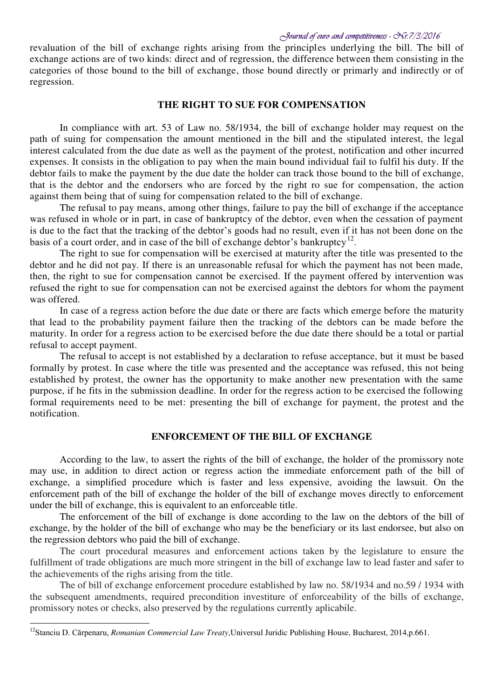revaluation of the bill of exchange rights arising from the principles underlying the bill. The bill of exchange actions are of two kinds: direct and of regression, the difference between them consisting in the categories of those bound to the bill of exchange, those bound directly or primarly and indirectly or of regression.

#### **THE RIGHT TO SUE FOR COMPENSATION**

In compliance with art. 53 of Law no. 58/1934, the bill of exchange holder may request on the path of suing for compensation the amount mentioned in the bill and the stipulated interest, the legal interest calculated from the due date as well as the payment of the protest, notification and other incurred expenses. It consists in the obligation to pay when the main bound individual fail to fulfil his duty. If the debtor fails to make the payment by the due date the holder can track those bound to the bill of exchange, that is the debtor and the endorsers who are forced by the right ro sue for compensation, the action against them being that of suing for compensation related to the bill of exchange.

The refusal to pay means, among other things, failure to pay the bill of exchange if the acceptance was refused in whole or in part, in case of bankruptcy of the debtor, even when the cessation of payment is due to the fact that the tracking of the debtor's goods had no result, even if it has not been done on the basis of a court order, and in case of the bill of exchange debtor's bankruptcy<sup>12</sup>.

The right to sue for compensation will be exercised at maturity after the title was presented to the debtor and he did not pay. If there is an unreasonable refusal for which the payment has not been made, then, the right to sue for compensation cannot be exercised. If the payment offered by intervention was refused the right to sue for compensation can not be exercised against the debtors for whom the payment was offered.

In case of a regress action before the due date or there are facts which emerge before the maturity that lead to the probability payment failure then the tracking of the debtors can be made before the maturity. In order for a regress action to be exercised before the due date there should be a total or partial refusal to accept payment.

The refusal to accept is not established by a declaration to refuse acceptance, but it must be based formally by protest. In case where the title was presented and the acceptance was refused, this not being established by protest, the owner has the opportunity to make another new presentation with the same purpose, if he fits in the submission deadline. In order for the regress action to be exercised the following formal requirements need to be met: presenting the bill of exchange for payment, the protest and the notification.

# **ENFORCEMENT OF THE BILL OF EXCHANGE**

According to the law, to assert the rights of the bill of exchange, the holder of the promissory note may use, in addition to direct action or regress action the immediate enforcement path of the bill of exchange, a simplified procedure which is faster and less expensive, avoiding the lawsuit. On the enforcement path of the bill of exchange the holder of the bill of exchange moves directly to enforcement under the bill of exchange, this is equivalent to an enforceable title.

The enforcement of the bill of exchange is done according to the law on the debtors of the bill of exchange, by the holder of the bill of exchange who may be the beneficiary or its last endorsee, but also on the regression debtors who paid the bill of exchange.

The court procedural measures and enforcement actions taken by the legislature to ensure the fulfillment of trade obligations are much more stringent in the bill of exchange law to lead faster and safer to the achievements of the righs arising from the title.

The of bill of exchange enforcement procedure established by law no. 58/1934 and no.59 / 1934 with the subsequent amendments, required precondition investiture of enforceability of the bills of exchange, promissory notes or checks, also preserved by the regulations currently aplicabile.

<sup>12</sup>Stanciu D. Cărpenaru, *Romanian Commercial Law Treaty*,Universul Juridic Publishing House, Bucharest, 2014,p.661.